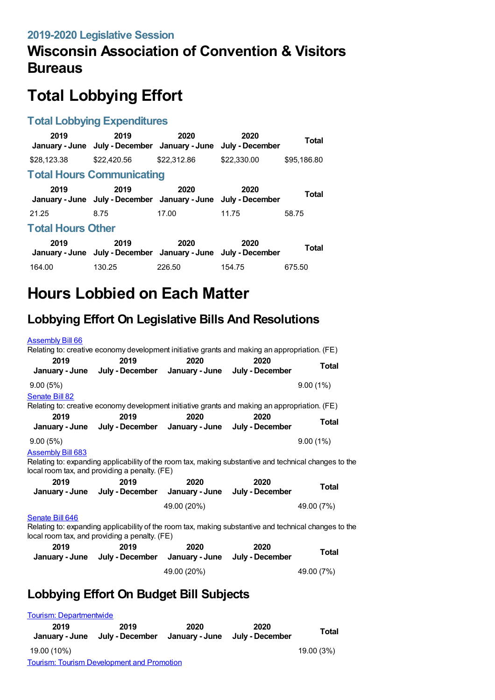## **Wisconsin Association of Convention & Visitors Bureaus**

# **Total Lobbying Effort**

#### **Total Lobbying Expenditures**

| 2019                             | 2019<br>January - June July - December January - June                 | 2020        | 2020<br>July - December | Total       |  |
|----------------------------------|-----------------------------------------------------------------------|-------------|-------------------------|-------------|--|
| \$28,123,38                      | \$22,420.56                                                           | \$22,312.86 | \$22,330.00             | \$95,186.80 |  |
| <b>Total Hours Communicating</b> |                                                                       |             |                         |             |  |
| 2019                             | 2019<br>January - June July - December January - June July - December | 2020        | 2020                    | Total       |  |
| 21.25                            | 8.75                                                                  | 17.00       | 11.75                   | 58.75       |  |
| <b>Total Hours Other</b>         |                                                                       |             |                         |             |  |
| 2019                             | 2019<br>January - June July - December January - June July - December | 2020        | 2020                    | Total       |  |
| 164.00                           | 130.25                                                                | 226.50      | 154.75                  | 675.50      |  |

# **Hours Lobbied on Each Matter**

## **Lobbying Effort On Legislative Bills And Resolutions**

| <b>Assembly Bill 66</b>                                                                                                                                                                                                                                                                             |                                                                                               |             |      |              |  |
|-----------------------------------------------------------------------------------------------------------------------------------------------------------------------------------------------------------------------------------------------------------------------------------------------------|-----------------------------------------------------------------------------------------------|-------------|------|--------------|--|
| Relating to: creative economy development initiative grants and making an appropriation. (FE)                                                                                                                                                                                                       |                                                                                               |             |      |              |  |
| 2019<br>January - June                                                                                                                                                                                                                                                                              | 2019<br>July - December January - June July - December                                        | 2020        | 2020 | <b>Total</b> |  |
| 9.00(5%)                                                                                                                                                                                                                                                                                            |                                                                                               |             |      | 9.00(1%)     |  |
| Senate Bill 82                                                                                                                                                                                                                                                                                      | Relating to: creative economy development initiative grants and making an appropriation. (FE) |             |      |              |  |
| 2019                                                                                                                                                                                                                                                                                                | 2019<br>January - June July - December January - June July - December                         | 2020        | 2020 | <b>Total</b> |  |
| 9.00(5%)                                                                                                                                                                                                                                                                                            |                                                                                               |             |      | 9.00(1%)     |  |
| <b>Assembly Bill 683</b><br>Relating to: expanding applicability of the room tax, making substantive and technical changes to the<br>local room tax, and providing a penalty. (FE)<br>2019<br>2019<br>2020<br>2020<br><b>Total</b><br>January - June July - December January - June July - December |                                                                                               |             |      |              |  |
|                                                                                                                                                                                                                                                                                                     |                                                                                               | 49.00 (20%) |      | 49.00 (7%)   |  |
| Senate Bill 646<br>Relating to: expanding applicability of the room tax, making substantive and technical changes to the<br>local room tax, and providing a penalty. (FE)<br>2019<br>2019<br>2020<br>2020                                                                                           |                                                                                               |             |      |              |  |
|                                                                                                                                                                                                                                                                                                     | January - June July - December January - June July - December                                 |             |      | <b>Total</b> |  |
|                                                                                                                                                                                                                                                                                                     |                                                                                               | 49.00 (20%) |      | 49.00 (7%)   |  |
| Lobbying Effort On Budget Bill Subjects                                                                                                                                                                                                                                                             |                                                                                               |             |      |              |  |

#### Tourism: [Departmentwide](https://lobbying.wi.gov/What/BudgetBillSubjectInformation/2019REG/Information/963?tab=Efforts) **2019 January - June July - December January - June July - December 2019 2020 2020 Total** 19.00 (10%) 19.00 (3%) Tourism: Tourism [Development](https://lobbying.wi.gov/What/BudgetBillSubjectInformation/2019REG/Information/962?tab=Efforts) and Promotion